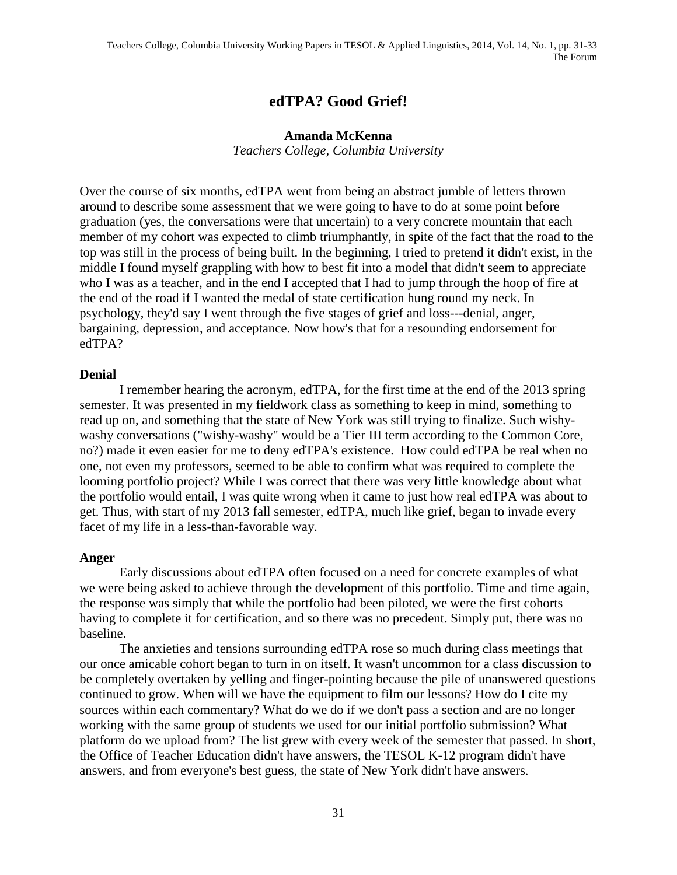# **edTPA? Good Grief!**

#### **Amanda McKenna**

*Teachers College, Columbia University*

Over the course of six months, edTPA went from being an abstract jumble of letters thrown around to describe some assessment that we were going to have to do at some point before graduation (yes, the conversations were that uncertain) to a very concrete mountain that each member of my cohort was expected to climb triumphantly, in spite of the fact that the road to the top was still in the process of being built. In the beginning, I tried to pretend it didn't exist, in the middle I found myself grappling with how to best fit into a model that didn't seem to appreciate who I was as a teacher, and in the end I accepted that I had to jump through the hoop of fire at the end of the road if I wanted the medal of state certification hung round my neck. In psychology, they'd say I went through the five stages of grief and loss---denial, anger, bargaining, depression, and acceptance. Now how's that for a resounding endorsement for edTPA?

### **Denial**

I remember hearing the acronym, edTPA, for the first time at the end of the 2013 spring semester. It was presented in my fieldwork class as something to keep in mind, something to read up on, and something that the state of New York was still trying to finalize. Such wishywashy conversations ("wishy-washy" would be a Tier III term according to the Common Core, no?) made it even easier for me to deny edTPA's existence. How could edTPA be real when no one, not even my professors, seemed to be able to confirm what was required to complete the looming portfolio project? While I was correct that there was very little knowledge about what the portfolio would entail, I was quite wrong when it came to just how real edTPA was about to get. Thus, with start of my 2013 fall semester, edTPA, much like grief, began to invade every facet of my life in a less-than-favorable way.

### **Anger**

Early discussions about edTPA often focused on a need for concrete examples of what we were being asked to achieve through the development of this portfolio. Time and time again, the response was simply that while the portfolio had been piloted, we were the first cohorts having to complete it for certification, and so there was no precedent. Simply put, there was no baseline.

The anxieties and tensions surrounding edTPA rose so much during class meetings that our once amicable cohort began to turn in on itself. It wasn't uncommon for a class discussion to be completely overtaken by yelling and finger-pointing because the pile of unanswered questions continued to grow. When will we have the equipment to film our lessons? How do I cite my sources within each commentary? What do we do if we don't pass a section and are no longer working with the same group of students we used for our initial portfolio submission? What platform do we upload from? The list grew with every week of the semester that passed. In short, the Office of Teacher Education didn't have answers, the TESOL K-12 program didn't have answers, and from everyone's best guess, the state of New York didn't have answers.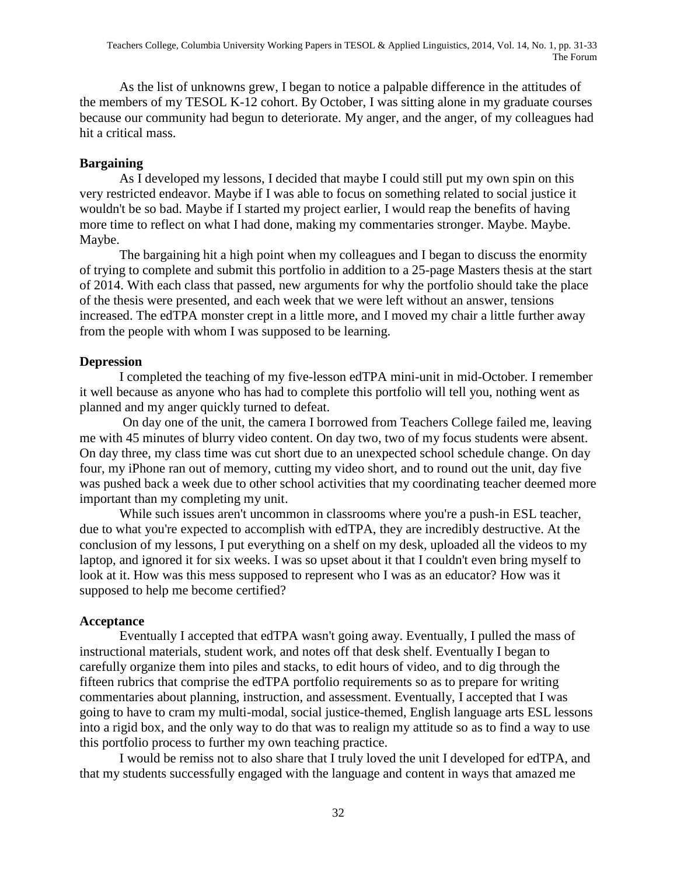As the list of unknowns grew, I began to notice a palpable difference in the attitudes of the members of my TESOL K-12 cohort. By October, I was sitting alone in my graduate courses because our community had begun to deteriorate. My anger, and the anger, of my colleagues had hit a critical mass.

## **Bargaining**

As I developed my lessons, I decided that maybe I could still put my own spin on this very restricted endeavor. Maybe if I was able to focus on something related to social justice it wouldn't be so bad. Maybe if I started my project earlier, I would reap the benefits of having more time to reflect on what I had done, making my commentaries stronger. Maybe. Maybe. Maybe.

The bargaining hit a high point when my colleagues and I began to discuss the enormity of trying to complete and submit this portfolio in addition to a 25-page Masters thesis at the start of 2014. With each class that passed, new arguments for why the portfolio should take the place of the thesis were presented, and each week that we were left without an answer, tensions increased. The edTPA monster crept in a little more, and I moved my chair a little further away from the people with whom I was supposed to be learning.

## **Depression**

I completed the teaching of my five-lesson edTPA mini-unit in mid-October. I remember it well because as anyone who has had to complete this portfolio will tell you, nothing went as planned and my anger quickly turned to defeat.

On day one of the unit, the camera I borrowed from Teachers College failed me, leaving me with 45 minutes of blurry video content. On day two, two of my focus students were absent. On day three, my class time was cut short due to an unexpected school schedule change. On day four, my iPhone ran out of memory, cutting my video short, and to round out the unit, day five was pushed back a week due to other school activities that my coordinating teacher deemed more important than my completing my unit.

While such issues aren't uncommon in classrooms where you're a push-in ESL teacher, due to what you're expected to accomplish with edTPA, they are incredibly destructive. At the conclusion of my lessons, I put everything on a shelf on my desk, uploaded all the videos to my laptop, and ignored it for six weeks. I was so upset about it that I couldn't even bring myself to look at it. How was this mess supposed to represent who I was as an educator? How was it supposed to help me become certified?

## **Acceptance**

Eventually I accepted that edTPA wasn't going away. Eventually, I pulled the mass of instructional materials, student work, and notes off that desk shelf. Eventually I began to carefully organize them into piles and stacks, to edit hours of video, and to dig through the fifteen rubrics that comprise the edTPA portfolio requirements so as to prepare for writing commentaries about planning, instruction, and assessment. Eventually, I accepted that I was going to have to cram my multi-modal, social justice-themed, English language arts ESL lessons into a rigid box, and the only way to do that was to realign my attitude so as to find a way to use this portfolio process to further my own teaching practice.

I would be remiss not to also share that I truly loved the unit I developed for edTPA, and that my students successfully engaged with the language and content in ways that amazed me